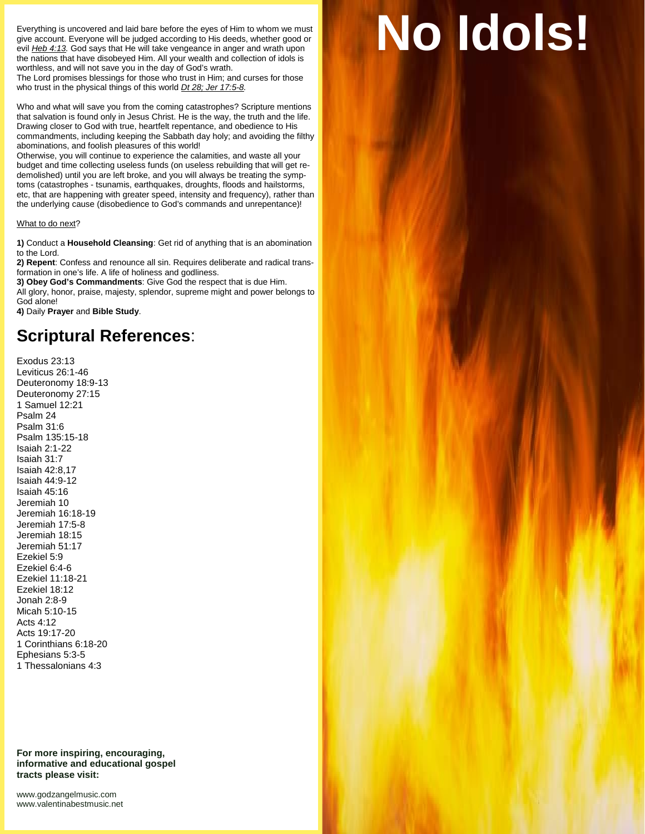Everything is uncovered and laid bare before the eyes of Him to whom we must give account. Everyone will be judged according to His deeds, whether good or evil *Heb 4:13.* God says that He will take vengeance in anger and wrath upon the nations that have disobeyed Him. All your wealth and collection of idols is worthless, and will not save you in the day of God's wrath.

The Lord promises blessings for those who trust in Him; and curses for those who trust in the physical things of this world *Dt 28; Jer 17:5-8.*

Who and what will save you from the coming catastrophes? Scripture mentions that salvation is found only in Jesus Christ. He is the way, the truth and the life. Drawing closer to God with true, heartfelt repentance, and obedience to His commandments, including keeping the Sabbath day holy; and avoiding the filthy abominations, and foolish pleasures of this world!

Otherwise, you will continue to experience the calamities, and waste all your budget and time collecting useless funds (on useless rebuilding that will get re demolished) until you are left broke, and you will always be treating the symptoms (catastrophes - tsunamis, earthquakes, droughts, floods and hailstorms, etc, that are happening with greater speed, intensity and frequency), rather than the underlying cause (disobedience to God's commands and unrepentance)!

## What to do next?

**1)** Conduct a **Household Cleansing**: Get rid of anything that is an abomination to the Lord.

**2) Repent**: Confess and renounce all sin. Requires deliberate and radical transformation in one's life. A life of holiness and godliness.

**3) Obey God's Commandments**: Give God the respect that is due Him.

All glory, honor, praise, majesty, splendor, supreme might and power belongs to God alone!

**4)** Daily **Prayer** and **Bible Study**.

## **Scriptural References**:

Exodus 23:13 Leviticus 26:1-46 Deuteronomy 18:9-13 Deuteronomy 27:15 1 Samuel 12:21 Psalm 24 Psalm 31:6 Psalm 135:15-18 Isaiah 2:1-22 Isaiah 31:7 Isaiah 42:8,17 Isaiah 44:9-12 Isaiah 45:16 Jeremiah 10 Jeremiah 16:18-19 Jeremiah 17:5-8 Jeremiah 18:15 Jeremiah 51:17 Ezekiel 5:9 Ezekiel 6:4-6 Ezekiel 11:18-21 Ezekiel 18:12 Jonah 2:8-9 Micah 5:10-15 Acts 4:12 Acts 19:17-20 1 Corinthians 6:18-20 Ephesians 5:3-5 1 Thessalonians 4:3

**For more inspiring, encouraging, informative and educational gospel tracts please visit:**

<www.godzangelmusic.com> <www.valentinabestmusic.net>

## **No Idols!**